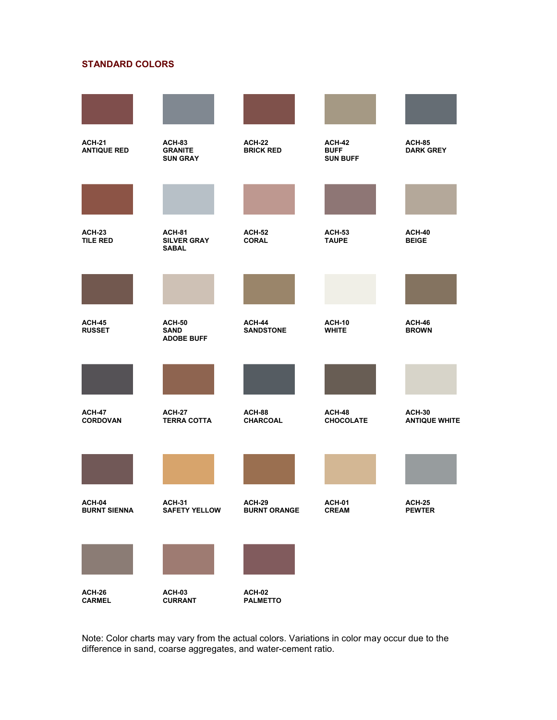

Note: Color charts may vary from the actual colors. Variations in color may occur due to the difference in sand, coarse aggregates, and water-cement ratio.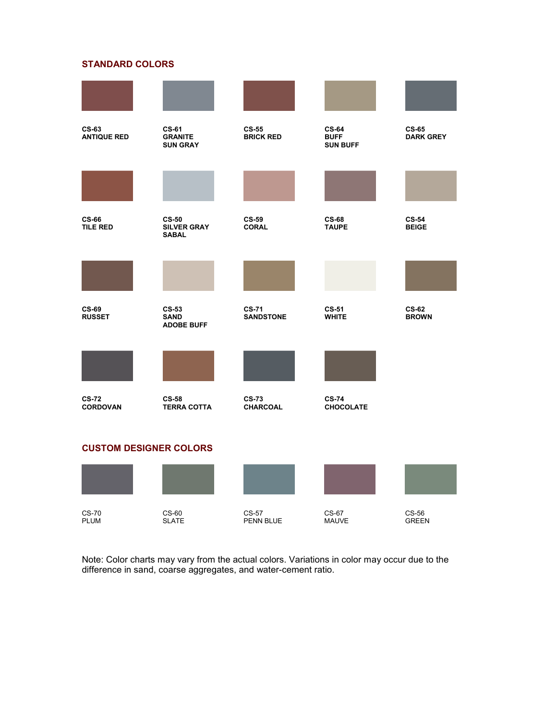

Note: Color charts may vary from the actual colors. Variations in color may occur due to the difference in sand, coarse aggregates, and water-cement ratio.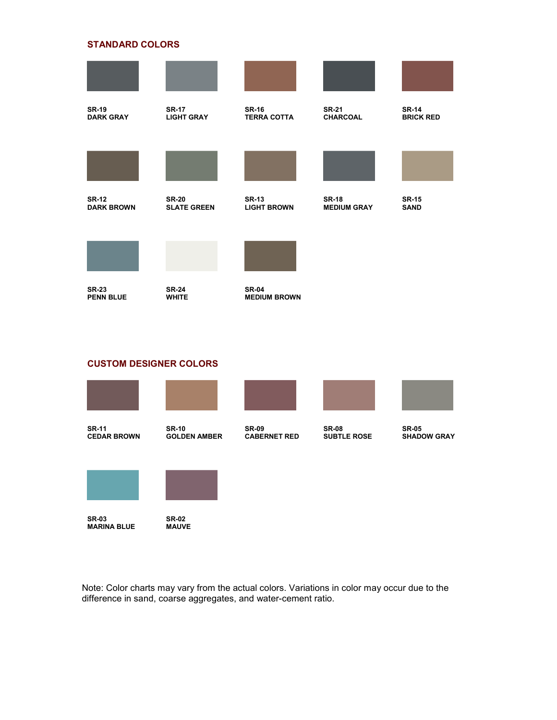| <b>SR-19</b><br><b>DARK GRAY</b>  | <b>SR-17</b><br><b>LIGHT GRAY</b>  | <b>SR-16</b><br><b>TERRA COTTA</b>  | <b>SR-21</b><br><b>CHARCOAL</b>    | <b>SR-14</b><br><b>BRICK RED</b> |
|-----------------------------------|------------------------------------|-------------------------------------|------------------------------------|----------------------------------|
|                                   |                                    |                                     |                                    |                                  |
| <b>SR-12</b><br><b>DARK BROWN</b> | <b>SR-20</b><br><b>SLATE GREEN</b> | <b>SR-13</b><br><b>LIGHT BROWN</b>  | <b>SR-18</b><br><b>MEDIUM GRAY</b> | <b>SR-15</b><br><b>SAND</b>      |
|                                   |                                    |                                     |                                    |                                  |
| <b>SR-23</b><br><b>PENN BLUE</b>  | <b>SR-24</b><br><b>WHITE</b>       | <b>SR-04</b><br><b>MEDIUM BROWN</b> |                                    |                                  |

# **CUSTOM DESIGNER COLORS**



Note: Color charts may vary from the actual colors. Variations in color may occur due to the difference in sand, coarse aggregates, and water-cement ratio.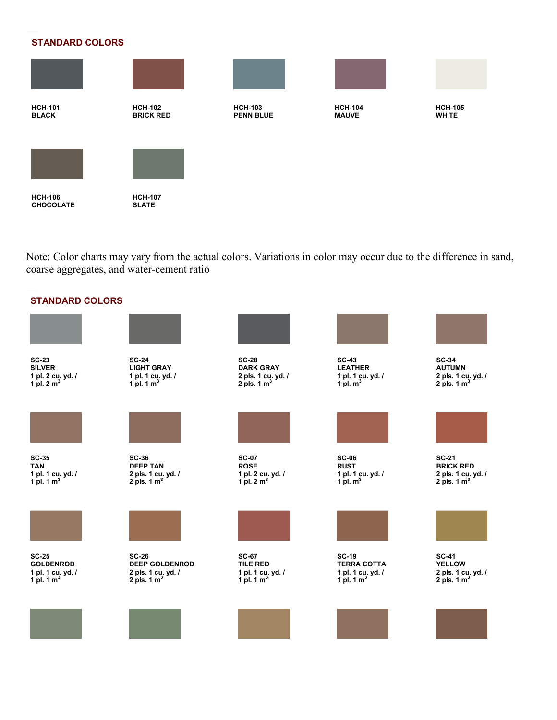

Note: Color charts may vary from the actual colors. Variations in color may occur due to the difference in sand, coarse aggregates, and water-cement ratio

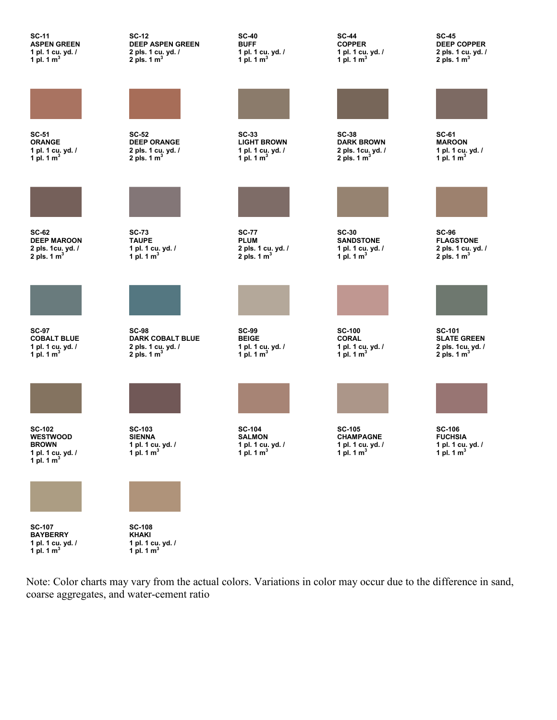**SC-11 ASPEN GREEN 1 pl. 1 cu. yd. / 1 pl. 1 m<sup>3</sup>**

**SC-51**

**ORANGE 1 pl. 1 cu. yd. / 1 pl. 1 m<sup>3</sup>**



**SC-62 DEEP MAROON 2 pls. 1cu. yd. / 2 pls. 1 m<sup>3</sup>**



**SC-97 COBALT BLUE 1 pl. 1 cu. yd. / 1 pl. 1 m<sup>3</sup>**



**SC-102 WESTWOOD BROWN 1 pl. 1 cu. yd. / 1 pl. 1 m<sup>3</sup>**



**SC-107 BAYBERRY 1 pl. 1 cu. yd. / 1 pl. 1 m<sup>3</sup>**

**SC-12 DEEP ASPEN GREEN 2 pls. 1 cu. yd. / 2 pls. 1 m<sup>3</sup>**



**SC-52 DEEP ORANGE 2 pls. 1 cu. yd. / 2 pls. 1 m<sup>3</sup>**



**SC-73 TAUPE 1 pl. 1 cu. yd. / 1 pl. 1 m<sup>3</sup>**



**SC-98 DARK COBALT BLUE 2 pls. 1 cu. yd. / 2 pls. 1 m<sup>3</sup>**









**SC-108 KHAKI 1 pl. 1 cu. yd. / 1 pl. 1 m<sup>3</sup>** **SC-40 BUFF 1 pl. 1 cu. yd. / 1 pl. 1 m<sup>3</sup>**



**SC-33 LIGHT BROWN 1 pl. 1 cu. yd. / 1 pl. 1 m<sup>3</sup>**



**SC-77 PLUM 2 pls. 1 cu. yd. / 2 pls. 1 m<sup>3</sup>**



**SC-99 BEIGE 1 pl. 1 cu. yd. / 1 pl. 1 m<sup>3</sup>**

**SC-104 SALMON 1 pl. 1 cu. yd. / 1 pl. 1 m<sup>3</sup>** **SC-44 COPPER 1 pl. 1 cu. yd. / 1 pl. 1 m<sup>3</sup>**



**SC-38 DARK BROWN 2 pls. 1cu. yd. / 2 pls. 1 m<sup>3</sup>**



**SC-30 SANDSTONE 1 pl. 1 cu. yd. / 1 pl. 1 m<sup>3</sup>**



**SC-100 CORAL 1 pl. 1 cu. yd. / 1 pl. 1 m<sup>3</sup>**



**SC-105 CHAMPAGNE 1 pl. 1 cu. yd. / 1 pl. 1 m<sup>3</sup>** **SC-45 DEEP COPPER 2 pls. 1 cu. yd. / 2 pls. 1 m<sup>3</sup>**



**SC-61 MAROON 1 pl. 1 cu. yd. / 1 pl. 1 m<sup>3</sup>**



**SC-96 FLAGSTONE 2 pls. 1 cu. yd. / 2 pls. 1 m<sup>3</sup>**







**1 pl. 1 cu. yd. / 1 pl. 1 m<sup>3</sup>**

Note: Color charts may vary from the actual colors. Variations in color may occur due to the difference in sand, coarse aggregates, and water-cement ratio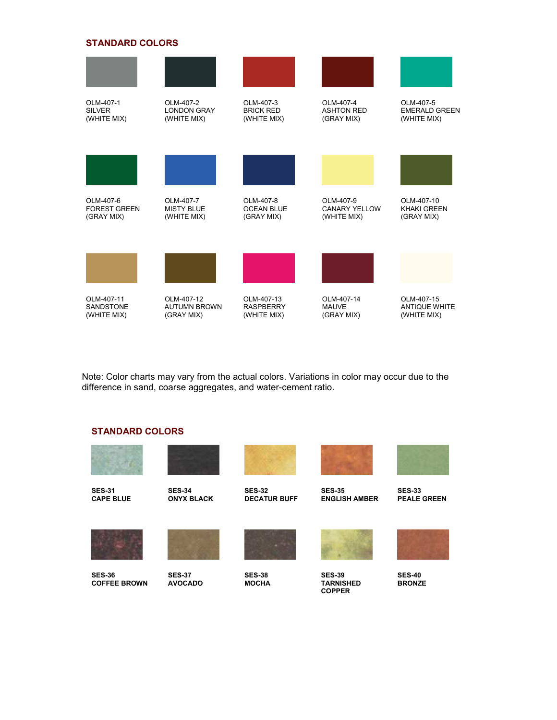

Note: Color charts may vary from the actual colors. Variations in color may occur due to the difference in sand, coarse aggregates, and water-cement ratio.

### **STANDARD COLORS**









**SES-32 DECATUR BUFF**



**ENGLISH AMBER**



**PEALE GREEN**



**SES-36 COFFEE BROWN**

**SES-37 AVOCADO** 

**SES-38 MOCHA** 

**SES-35**

**SES-39 TARNISHED COPPER**



**SES-40 BRONZE**